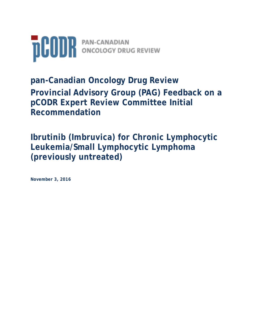

**pan-Canadian Oncology Drug Review Provincial Advisory Group (PAG) Feedback on a pCODR Expert Review Committee Initial Recommendation** 

**Ibrutinib (Imbruvica) for Chronic Lymphocytic Leukemia/Small Lymphocytic Lymphoma (previously untreated)**

**November 3, 2016**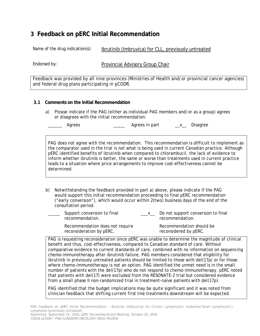Name of the drug indication(s): Ibrutinib (Imbruvica) for CLL, previously untreated

Endorsed by: Provincial Advisory Group Chair

Feedback was provided by all nine provinces (Ministries of Health and/or provincial cancer agencies) and federal drug plans participating in pCODR.

## **3.1 Comments on the Initial Recommendation**

a) Please indicate if the PAG (either as individual PAG members and/or as a group) agrees or disagrees with the initial recommendation:

Agrees **Agrees** Agrees in part **Agrees** 2

PAG does not agree with the recommendation. This recommendation is difficult to implement as the comparator used in the trial is not what is being used in current Canadian practice. Although pERC identified benefits of ibrutinib when compared to chlorambucil, the lack of evidence to inform whether ibrutinib is better, the same or worse than treatments used in current practice leads to a situation where price arrangements to improve cost-effectiveness cannot be determined.

b) Notwithstanding the feedback provided in part a) above, please indicate if the PAG would support this initial recommendation proceeding to final pERC recommendation ("early conversion"), which would occur within 2(two) business days of the end of the consultation period.

| Support conversion to final<br>recommendation.              | $\overline{\phantom{a}}$ $\overline{\phantom{a}}$ $\overline{\phantom{a}}$ $\overline{\phantom{a}}$ $\overline{\phantom{a}}$ $\overline{\phantom{a}}$ $\overline{\phantom{a}}$ $\overline{\phantom{a}}$ $\overline{\phantom{a}}$ $\overline{\phantom{a}}$ $\overline{\phantom{a}}$ $\overline{\phantom{a}}$ $\overline{\phantom{a}}$ $\overline{\phantom{a}}$ $\overline{\phantom{a}}$ $\overline{\phantom{a}}$ $\overline{\phantom{a}}$ $\overline{\phantom{a}}$ $\overline{\$ | Do not support conversion to final<br>recommendation. |
|-------------------------------------------------------------|---------------------------------------------------------------------------------------------------------------------------------------------------------------------------------------------------------------------------------------------------------------------------------------------------------------------------------------------------------------------------------------------------------------------------------------------------------------------------------|-------------------------------------------------------|
| Recommendation does not require<br>reconsideration by pERC. |                                                                                                                                                                                                                                                                                                                                                                                                                                                                                 | Recommendation should be<br>reconsidered by pERC.     |

**3 Feedback on pERC initial Recommendation**<br>
Name of the drug indications): <br>
<u>Invoincial Advisory Group Chair</u><br>
Frecorately:<br>
Frecorately:<br>
Frecorately:<br>
Frecorately:<br>
Frecorately:<br>
Frecorately:<br>
Frecorately:<br>
Frecorately PAG is requesting reconsideration since pERC was unable to determine the magnitude of clinical benefit and thus, cost-effectiveness, compared to Canadian standard of care. Without comparative evidence to current standards of care, combined with no information on sequencing chemo-immunotherapy after ibrutinib failure, PAG members considered that eligibility for ibrutinib in previously untreated patients should be limited to those with del(17p) or for those where chemo-immunotherapy is not an option. PAG identified the unmet need is in the small number of patients with the del(17p) who do not respond to chemo-immunotherapy. pERC noted that patients with del(17) were excluded from the RESONATE-2 trial but considered evidence from a small phase II non-randomized trial in treatment-naïve patients with del(17p).

PAG identified that the budget implications may be quite significant and it was noted from clinician feedback that shifting current first line treatments downstream will be expected.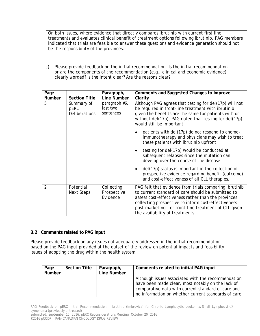| <b>Number</b>  |                                                                          | Line Number                            | Although issues associated with the recommendation<br>have been made clear, most notably on the lack of<br>comparative data with current standard of care and                                                                                                                                                                                                                                                          |
|----------------|--------------------------------------------------------------------------|----------------------------------------|------------------------------------------------------------------------------------------------------------------------------------------------------------------------------------------------------------------------------------------------------------------------------------------------------------------------------------------------------------------------------------------------------------------------|
| Page           | s of adopting the drug within the health system.<br><b>Section Title</b> | Paragraph,                             | Comments related to initial PAG input                                                                                                                                                                                                                                                                                                                                                                                  |
|                | <b>Comments related to PAG input</b>                                     |                                        | e provide feedback on any issues not adequately addressed in the initial recommendation<br>d on the PAG input provided at the outset of the review on potential impacts and feasibility                                                                                                                                                                                                                                |
| $\overline{2}$ | Potential<br><b>Next Steps</b>                                           | Collecting<br>Prospective<br>Evidence  | PAG felt that evidence from trials comparing ibrutinib<br>to current standard of care should be submitted to<br>assess cost-effectiveness rather than the provinces<br>collecting prospective to inform cost-effectiveness<br>post-marketing, for front-line treatment of CLL given<br>the availability of treatments.                                                                                                 |
|                |                                                                          |                                        | testing for del(17p) would be conducted at<br>$\bullet$<br>subsequent relapses since the mutation can<br>develop over the course of the disease<br>del(17p) status is important in the collection of<br>$\bullet$<br>prospective evidence regarding benefit (outcome)<br>and cost-effectiveness of all CLL therapies.                                                                                                  |
| 5              | Summary of<br>pERC<br><b>Deliberations</b>                               | paragraph #6,<br>last two<br>sentences | Although PAG agrees that testing for del(17p) will not<br>be required in front-line treatment with ibrutinib<br>given the benefits are the same for patients with or<br>without del(17p), PAG noted that testing for del(17p)<br>would still be important:<br>patients with del(17p) do not respond to chemo-<br>$\bullet$<br>immunothearapy and physicians may wish to treat<br>these patients with ibrutinib upfront |
| Page<br>Number | <b>Section Title</b>                                                     | Paragraph,<br><b>Line Number</b>       | Comments and Suggested Changes to Improve<br>Clarity                                                                                                                                                                                                                                                                                                                                                                   |
| c)             |                                                                          |                                        | Please provide feedback on the initial recommendation. Is the initial recommendation<br>or are the components of the recommendation (e.g., clinical and economic evidence)<br>clearly worded? Is the intent clear? Are the reasons clear?                                                                                                                                                                              |
|                | be the responsibility of the provinces.                                  |                                        |                                                                                                                                                                                                                                                                                                                                                                                                                        |

## **3.2 Comments related to PAG input**

Please provide feedback on any issues not adequately addressed in the initial recommendation based on the PAG input provided at the outset of the review on potential impacts and feasibility issues of adopting the drug within the health system.

| Page<br><b>Number</b> | <b>Section Title</b> | Paragraph,<br>Line Number | Comments related to initial PAG input                                                                                                                                                                                |
|-----------------------|----------------------|---------------------------|----------------------------------------------------------------------------------------------------------------------------------------------------------------------------------------------------------------------|
|                       |                      |                           | Although issues associated with the recommendation<br>have been made clear, most notably on the lack of<br>comparative data with current standard of care and<br>no information on whether current standards of care |

PAG Feedback on pERC Initial Recommendation - Ibrutinib (Imbruvica) for Chronic Lymphocytic Leukemia/Small Lymphocytic2 Lymphoma (previously untreated)

Submitted: September 15, 2016; pERC Reconsiderations Meeting: October 20, 2016 ©2016 pCODR | PAN-CANADIAN ONCOLOGY DRUG REVIEW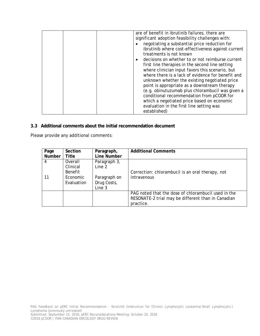|                                                                                                     |                                                          |                                                                 | are of benefit in ibrutinib failures, there are<br>significant adoption feasibility challenges with:<br>negotiating a substantial price reduction for<br>ibrutinib where cost-effectiveness against current<br>treatments is not known<br>decisions on whether to or not reimburse current<br>first line therapies in the second line setting<br>where clinician input favors this scenario, but<br>where there is a lack of evidence for benefit and<br>unknown whether the existing negotiated price<br>point is appropriate as a downstream therapy<br>(e.g. obinutuzumab plus chlorambucil was given a<br>conditional recommendation from pCODR for<br>which a negotiated price based on economic<br>evaluation in the first line setting was<br>established) |  |
|-----------------------------------------------------------------------------------------------------|----------------------------------------------------------|-----------------------------------------------------------------|-------------------------------------------------------------------------------------------------------------------------------------------------------------------------------------------------------------------------------------------------------------------------------------------------------------------------------------------------------------------------------------------------------------------------------------------------------------------------------------------------------------------------------------------------------------------------------------------------------------------------------------------------------------------------------------------------------------------------------------------------------------------|--|
| Additional comments about the initial recommendation document<br>e provide any additional comments: |                                                          |                                                                 |                                                                                                                                                                                                                                                                                                                                                                                                                                                                                                                                                                                                                                                                                                                                                                   |  |
| Page<br><b>Number</b>                                                                               | Section<br><b>Title</b>                                  | Paragraph,<br><b>Line Number</b>                                | <b>Additional Comments</b>                                                                                                                                                                                                                                                                                                                                                                                                                                                                                                                                                                                                                                                                                                                                        |  |
| $\overline{4}$<br>11                                                                                | Overall<br>Clinical<br>Benefit<br>Economic<br>Evaluation | Paragraph 3,<br>Line 2<br>Paragraph on<br>Drug Costs,<br>Line 3 | Correction: chlorambucil is an oral therapy, not<br>intravenous                                                                                                                                                                                                                                                                                                                                                                                                                                                                                                                                                                                                                                                                                                   |  |
|                                                                                                     |                                                          |                                                                 | PAG noted that the dose of chlorambucil used in the<br>RESONATE-2 trial may be different than in Canadian<br>practice.                                                                                                                                                                                                                                                                                                                                                                                                                                                                                                                                                                                                                                            |  |
|                                                                                                     |                                                          |                                                                 |                                                                                                                                                                                                                                                                                                                                                                                                                                                                                                                                                                                                                                                                                                                                                                   |  |

## **3.3 Additional comments about the initial recommendation document**

Please provide any additional comments:

| Page   | Section    | Paragraph,   | <b>Additional Comments</b>                          |
|--------|------------|--------------|-----------------------------------------------------|
| Number | Title      | Line Number  |                                                     |
|        | Overall    | Paragraph 3, |                                                     |
|        | Clinical   | Line 2       |                                                     |
|        | Benefit    |              | Correction: chlorambucil is an oral therapy, not    |
| 11     | Economic   | Paragraph on | intravenous                                         |
|        | Evaluation | Drug Costs,  |                                                     |
|        |            | Line 3       |                                                     |
|        |            |              | PAG noted that the dose of chlorambucil used in the |
|        |            |              | RESONATE-2 trial may be different than in Canadian  |
|        |            |              | practice.                                           |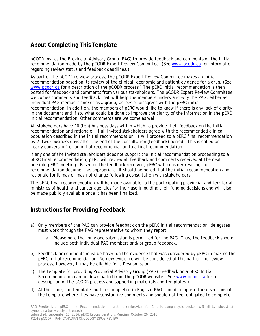pCODR invites the Provincial Advisory Group (PAG) to provide feedback and comments on the initial recommendation made by the pCODR Expert Review Committee. (See www.pcodr.ca for information regarding review status and feedback deadlines.)

**About Completing This Template**<br> **About Completing This Template**<br> **COME mixital behavior of Proper (PAC)** to provide freedock and communits on the initial<br>
recommendation name by the pCoDR Experiment Review Committee. (S As part of the pCODR re view process, the pCODR Expert Review Committee makes an initial recommendation based on its review of the clinical, economic and patient evidence for a drug. (See www.pcodr.ca for a description of the pCODR process.) The pERC initial recommendation is then posted for feedback and comments from various stakeholders. The pCODR Expert Review Committee welcomes comments and feedback that will help the members understand why the PAG, either as individual PAG members and/or as a group, agrees or disagrees with the pERC initial recommendation. In addition, the members of pERC would like to know if there is any lack of clarity in the document and if so, what could be done to improve the clarity of the information in the pERC initial recommendation. Other comments are welcome as well.

All stakeholders have 10 (ten) business days within which to provide their feedback on the initial recommendation and rationale. If all invited stakeholders agree with the recommended clinical population described in the initial recommendation, it will proceed to a pERC final recommendation by 2 (two) business days after the end of the consultation (feedback) period. This is called an "early conversion" of an initial recommendation to a final recommendation.

If any one of the invited stakeholders does not support the initial recommendation proceeding to a pERC final recommendation, pERC will review all feedback and comments received at the next possible pERC meeting. Based on the feedback received, pERC will consider revising the recommendation document as appropriate. It should be noted that the initial recommendation and rationale for it may or may not change following consultation with stakeholders.

The pERC final recommendation will be made available to the participating provincial and territorial ministries of health and cancer agencies for their use in guiding their funding decisions and will also be made publicly available once it has been finalized.

# **Instructions for Providing Feedback**

- a) Only members of the PAG can provide feedback on the pERC initial recommendation; delegates must work through the PAG representative to whom they report.
	- a. Please note that only one submission is permitted for the PAG. Thus, the feedback should include both individual PAG members and/or group feedback.
- b) Feedback or comments must be based on the evidence that was considered by pERC in making the pERC initial recommendation. No new evidence will be considered at this part of the review process, however, it may be eligible for a Resubmission.
- c) The template for providing *Provincial Advisory Group (PAG) Feedback on a pERC Initial Recommendation* can be downloaded from the pCODR website. (See www.pcodr.ca for a description of the pCODR process and supporting materials and templates.)
- d) At this time, the template must be completed in English. PAG should complete those sections of the template where they have substantive comments and should not feel obligated to complete